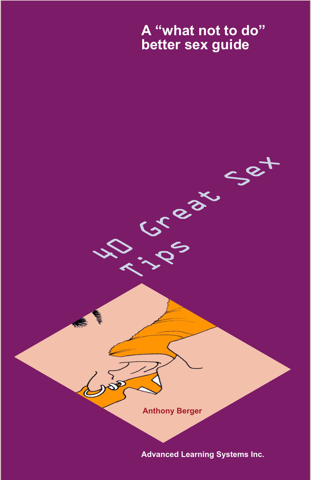## **A "what not to do" better sex guide**



**Advanced Learning Systems Inc.**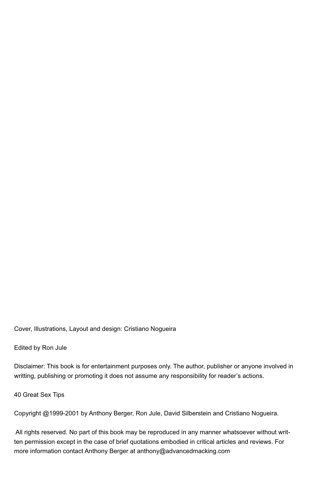Cover, Illustrations, Layout and design: Cristiano Nogueira

Edited by Ron Jule

Disclaimer: This book is for entertainment purposes only. The author, publisher or anyone involved in writting, publishing or promoting it does not assume any responsibility for reader's actions.

40 Great Sex Tips

Copyright @1999-2001 by Anthony Berger, Ron Jule, David Silberstein and Cristiano Nogueira.

 All rights reserved. No part of this book may be reproduced in any manner whatsoever without written permission except in the case of brief quotations embodied in critical articles and reviews. For more information contact Anthony Berger at anthony@advancedmacking.com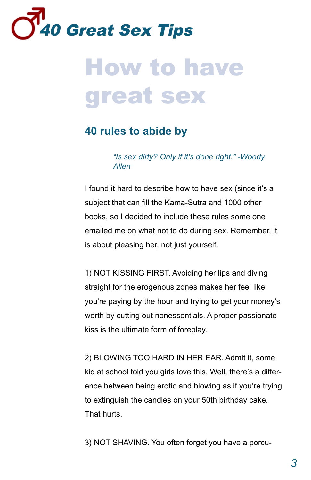

## How to have great sex

## **40 rules to abide by**

*"Is sex dirty? Only if it's done right." -Woody Allen*

I found it hard to describe how to have sex (since it's a subject that can fill the Kama-Sutra and 1000 other books, so I decided to include these rules some one emailed me on what not to do during sex. Remember, it is about pleasing her, not just yourself.

1) NOT KISSING FIRST. Avoiding her lips and diving straight for the erogenous zones makes her feel like you're paying by the hour and trying to get your money's worth by cutting out nonessentials. A proper passionate kiss is the ultimate form of foreplay.

2) BLOWING TOO HARD IN HER EAR. Admit it, some kid at school told you girls love this. Well, there's a difference between being erotic and blowing as if you're trying to extinguish the candles on your 50th birthday cake. That hurts.

3) NOT SHAVING. You often forget you have a porcu-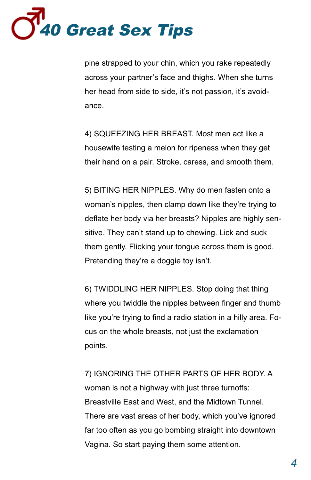

pine strapped to your chin, which you rake repeatedly across your partner's face and thighs. When she turns her head from side to side, it's not passion, it's avoidance.

4) SQUEEZING HER BREAST. Most men act like a housewife testing a melon for ripeness when they get their hand on a pair. Stroke, caress, and smooth them.

5) BITING HER NIPPLES. Why do men fasten onto a woman's nipples, then clamp down like they're trying to deflate her body via her breasts? Nipples are highly sensitive. They can't stand up to chewing. Lick and suck them gently. Flicking your tongue across them is good. Pretending they're a doggie toy isn't.

6) TWIDDLING HER NIPPLES. Stop doing that thing where you twiddle the nipples between finger and thumb like you're trying to find a radio station in a hilly area. Focus on the whole breasts, not just the exclamation points.

7) IGNORING THE OTHER PARTS OF HER BODY. A woman is not a highway with just three turnoffs: Breastville East and West, and the Midtown Tunnel. There are vast areas of her body, which you've ignored far too often as you go bombing straight into downtown Vagina. So start paying them some attention.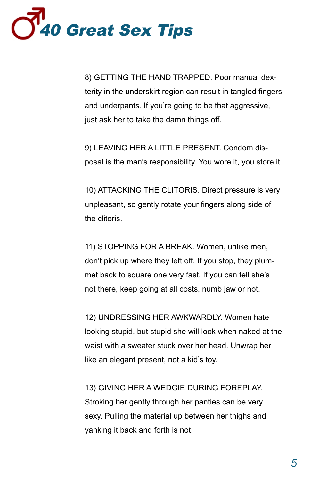

8) GETTING THE HAND TRAPPED. Poor manual dexterity in the underskirt region can result in tangled fingers and underpants. If you're going to be that aggressive, just ask her to take the damn things off.

9) LEAVING HER A LITTLE PRESENT. Condom disposal is the man's responsibility. You wore it, you store it.

10) ATTACKING THE CLITORIS. Direct pressure is very unpleasant, so gently rotate your fingers along side of the clitoris.

11) STOPPING FOR A BREAK. Women, unlike men, don't pick up where they left off. If you stop, they plummet back to square one very fast. If you can tell she's not there, keep going at all costs, numb jaw or not.

12) UNDRESSING HER AWKWARDLY. Women hate looking stupid, but stupid she will look when naked at the waist with a sweater stuck over her head. Unwrap her like an elegant present, not a kid's toy.

13) GIVING HER A WEDGIE DURING FOREPLAY. Stroking her gently through her panties can be very sexy. Pulling the material up between her thighs and yanking it back and forth is not.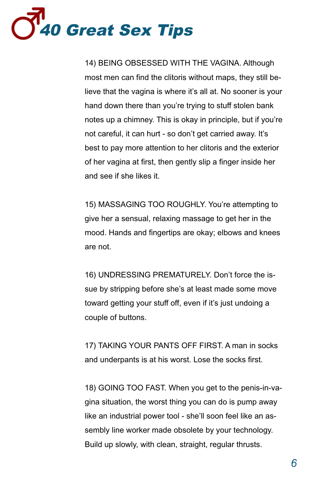

14) BEING OBSESSED WITH THE VAGINA. Although most men can find the clitoris without maps, they still believe that the vagina is where it's all at. No sooner is your hand down there than you're trying to stuff stolen bank notes up a chimney. This is okay in principle, but if you're not careful, it can hurt - so don't get carried away. It's best to pay more attention to her clitoris and the exterior of her vagina at first, then gently slip a finger inside her and see if she likes it.

15) MASSAGING TOO ROUGHLY. You're attempting to give her a sensual, relaxing massage to get her in the mood. Hands and fingertips are okay; elbows and knees are not.

16) UNDRESSING PREMATURELY. Don't force the issue by stripping before she's at least made some move toward getting your stuff off, even if it's just undoing a couple of buttons.

17) TAKING YOUR PANTS OFF FIRST. A man in socks and underpants is at his worst. Lose the socks first.

18) GOING TOO FAST. When you get to the penis-in-vagina situation, the worst thing you can do is pump away like an industrial power tool - she'll soon feel like an assembly line worker made obsolete by your technology. Build up slowly, with clean, straight, regular thrusts.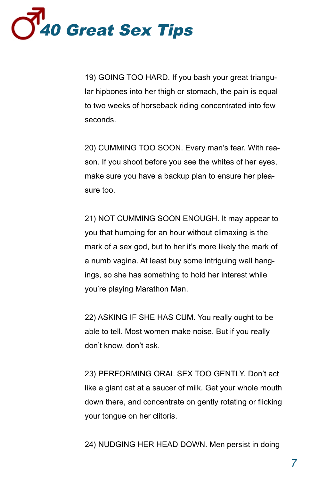

19) GOING TOO HARD. If you bash your great triangular hipbones into her thigh or stomach, the pain is equal to two weeks of horseback riding concentrated into few seconds.

20) CUMMING TOO SOON. Every man's fear. With reason. If you shoot before you see the whites of her eyes, make sure you have a backup plan to ensure her pleasure too.

21) NOT CUMMING SOON ENOUGH. It may appear to you that humping for an hour without climaxing is the mark of a sex god, but to her it's more likely the mark of a numb vagina. At least buy some intriguing wall hangings, so she has something to hold her interest while you're playing Marathon Man.

22) ASKING IF SHE HAS CUM. You really ought to be able to tell. Most women make noise. But if you really don't know, don't ask.

23) PERFORMING ORAL SEX TOO GENTLY. Don't act like a giant cat at a saucer of milk. Get your whole mouth down there, and concentrate on gently rotating or flicking your tongue on her clitoris.

24) NUDGING HER HEAD DOWN. Men persist in doing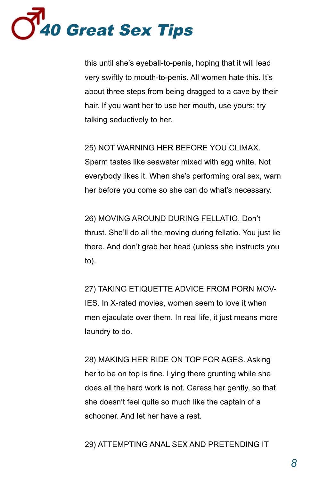

this until she's eyeball-to-penis, hoping that it will lead very swiftly to mouth-to-penis. All women hate this. It's about three steps from being dragged to a cave by their hair. If you want her to use her mouth, use yours; try talking seductively to her.

25) NOT WARNING HER BEFORE YOU CLIMAX. Sperm tastes like seawater mixed with egg white. Not everybody likes it. When she's performing oral sex, warn her before you come so she can do what's necessary.

26) MOVING AROUND DURING FELLATIO. Don't thrust. She'll do all the moving during fellatio. You just lie there. And don't grab her head (unless she instructs you to).

27) TAKING ETIQUETTE ADVICE FROM PORN MOV-IES. In X-rated movies, women seem to love it when men ejaculate over them. In real life, it just means more laundry to do.

28) MAKING HER RIDE ON TOP FOR AGES. Asking her to be on top is fine. Lying there grunting while she does all the hard work is not. Caress her gently, so that she doesn't feel quite so much like the captain of a schooner. And let her have a rest.

29) ATTEMPTING ANAL SEX AND PRETENDING IT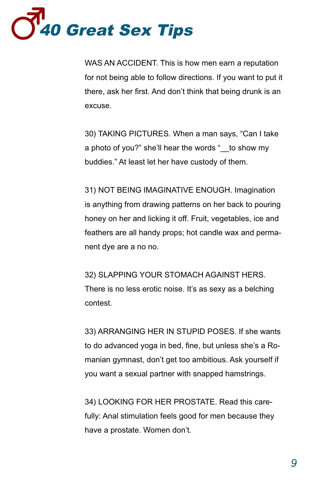

WAS AN ACCIDENT. This is how men earn a reputation for not being able to follow directions. If you want to put it there, ask her first. And don't think that being drunk is an excuse.

30) TAKING PICTURES. When a man says, "Can I take a photo of you?" she'll hear the words " to show my buddies." At least let her have custody of them.

31) NOT BEING IMAGINATIVE ENOUGH. Imagination is anything from drawing patterns on her back to pouring honey on her and licking it off. Fruit, vegetables, ice and feathers are all handy props; hot candle wax and permanent dye are a no no.

32) SLAPPING YOUR STOMACH AGAINST HERS. There is no less erotic noise. It's as sexy as a belching contest.

33) ARRANGING HER IN STUPID POSES. If she wants to do advanced yoga in bed, fine, but unless she's a Romanian gymnast, don't get too ambitious. Ask yourself if you want a sexual partner with snapped hamstrings.

34) LOOKING FOR HER PROSTATE. Read this carefully: Anal stimulation feels good for men because they have a prostate. Women don't.